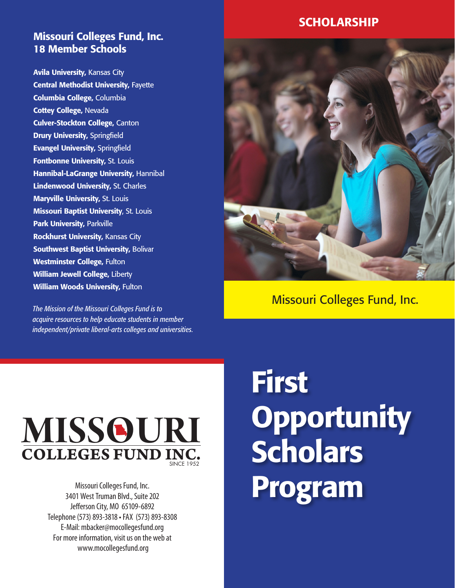# Missouri Colleges Fund, Inc. 18 Member Schools

**Avila University, Kansas City Central Methodist University, Fayette** Columbia College, Columbia **Cottey College, Nevada** Culver-Stockton College, Canton **Drury University, Springfield** Evangel University, Springfield **Fontbonne University, St. Louis Hannibal-LaGrange University, Hannibal** Lindenwood University, St. Charles **Maryville University, St. Louis Missouri Baptist University, St. Louis** Park University, Parkville **Rockhurst University, Kansas City** Southwest Baptist University, Bolivar Westminster College, Fulton William Jewell College, Liberty William Woods University, Fulton

*The Mission of the Missouri Colleges Fund is to acquire resources to help educate students in member independent/private liberal-arts colleges and universities.*



Missouri Colleges Fund, Inc.



Missouri Colleges Fund, Inc. 3401 West Truman Blvd., Suite 202 Jefferson City, MO 65109-6892 Telephone (573) 893-3818 • FAX (573) 893-8308 E-Mail: mbacker@mocollegesfund.org For more information, visit us on the web at www.mocollegesfund.org

# First **Opportunity Scholars** Program